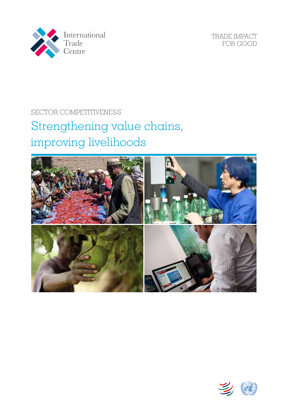

TRADE IMPACT FOR GOOD

## SECTOR COMPETITIVENESS

# Strengthening value chains, improving livelihoods



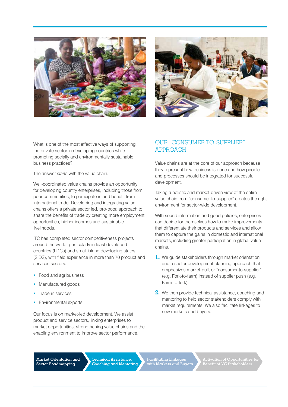



What is one of the most effective ways of supporting the private sector in developing countries while promoting socially and environmentally sustainable business practices?

The answer *starts* with the value chain.

Well-coordinated value chains provide an opportunity for developing country enterprises, including those from poor communities, to participate in and benefit from international trade. Developing and integrating value chains offers a private sector led, pro-poor, approach to share the benefits of trade by creating more employment opportunities, higher incomes and sustainable livelihoods.

ITC has completed sector competitiveness projects around the world, particularly in least developed countries (LDCs) and small island developing states (SIDS), with field experience in more than 70 product and services sectors:

- Food and agribusiness
- **Manufactured goods**
- Trade in services
- Environmental exports

Our focus is on market-led development. We assist product and service sectors, linking enterprises to market opportunities, strengthening value chains and the enabling environment to improve sector performance.

### OUR "CONSUMER-TO-SUPPLIER" **APPROACH**

Value chains are at the core of our approach because they represent how business is done and how people and processes should be integrated for successful development.

Taking a holistic and market-driven view of the entire value chain from "consumer-to-supplier" creates the right environment for sector-wide development.

With sound information and good policies, enterprises can decide for themselves how to make improvements that differentiate their products and services and allow them to capture the gains in domestic and international markets, including greater participation in global value chains.

- **1.** We guide stakeholders through market orientation and a sector development planning approach that emphasizes market-pull, or "consumer-to-supplier" (e.g. Fork-to-farm) instead of supplier push (e.g. Farm-to-fork).
- **2.** We then provide technical assistance, coaching and mentoring to help sector stakeholders comply with market requirements. We also facilitate linkages to new markets and buyers.

**Market Orientation and Sector Roadmapping** 

**Technical Assistance, Coaching and Mentoring** 

**Facilitating Linkages with Markets and Buyers**  **Activation of Opportunities for Benefit of VC Stakeholders**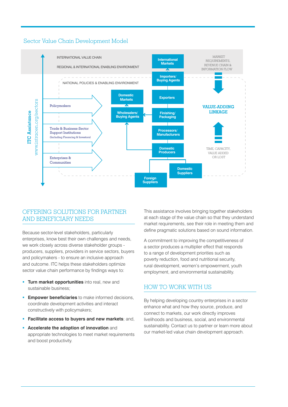



### Offering solutions for Partner and Beneficiary Needs

Because sector-level stakeholders, particularly enterprises, know best their own challenges and needs, we work closely across diverse stakeholder groups producers, suppliers, providers in service sectors, buyers and policymakers - to ensure an inclusive approach and outcome. ITC helps these stakeholders optimize sector value chain performance by findings ways to:

- **Turn market opportunities** into real, new and sustainable business;
- **Empower beneficiaries** to make informed decisions, coordinate development activities and interact constructively with policymakers;
- **Facilitate access to buyers and new markets**; and,
- **Accelerate the adoption of innovation** and appropriate technologies to meet market requirements and boost productivity.

This assistance involves bringing together stakeholders at each stage of the value chain so that they understand market requirements, see their role in meeting them and define pragmatic solutions based on sound information.

A commitment to improving the competitiveness of a sector produces a multiplier effect that responds to a range of development priorities such as poverty reduction, food and nutritional security, rural development, women's empowerment, youth employment, and environmental sustainability.

### How to Work with Us

By helping developing country enterprises in a sector enhance what and how they source, produce, and connect to markets, our work directly improves livelihoods and business, social, and environmental sustainability. Contact us to partner or learn more about our market-led value chain development approach.